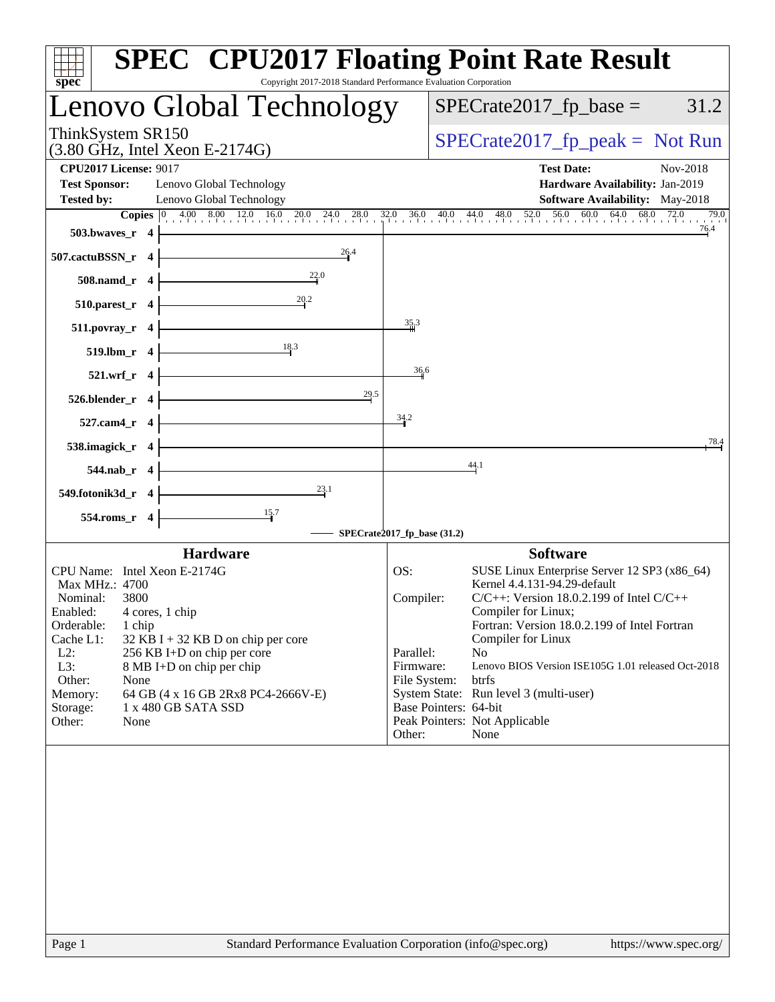| spec <sup>®</sup>                                                                | <b>SPEC<sup>®</sup> CPU2017 Floating Point Rate Result</b><br>Copyright 2017-2018 Standard Performance Evaluation Corporation                                                                                                                                                           |
|----------------------------------------------------------------------------------|-----------------------------------------------------------------------------------------------------------------------------------------------------------------------------------------------------------------------------------------------------------------------------------------|
| Lenovo Global Technology                                                         | $SPECrate2017_fp\_base =$<br>31.2                                                                                                                                                                                                                                                       |
| ThinkSystem SR150<br>$(3.80 \text{ GHz}, \text{Intel Xeon E-2174G})$             | $SPECrate2017_fp\_peak = Not Run$                                                                                                                                                                                                                                                       |
| <b>CPU2017 License: 9017</b><br><b>Test Sponsor:</b><br>Lenovo Global Technology | <b>Test Date:</b><br>Nov-2018<br>Hardware Availability: Jan-2019                                                                                                                                                                                                                        |
| <b>Tested by:</b><br>Lenovo Global Technology                                    | Software Availability: May-2018                                                                                                                                                                                                                                                         |
|                                                                                  | <b>Copies</b> $\begin{bmatrix} 0 & 4.00 & 8.00 & 12.0 & 16.0 & 20.0 & 24.0 & 28.0 & 32.0 & 36.0 & 40.0 & 44.0 & 48.0 & 52.0 & 56.0 & 60.0 & 64.0 & 68.0 & 72.0 & 68.0 & 72.0 & 72.0 & 72.0 & 72.0 & 72.0 & 72.0 & 72.0 & 72.0 & 72.0 & 72.0 & 72.0 & 72.0 & 72.0 & 72.0 & 72.0$<br>79.0 |
| $503.bwaves_r 4$                                                                 | 76.4                                                                                                                                                                                                                                                                                    |
| 26.4<br>507.cactuBSSN_r 4                                                        |                                                                                                                                                                                                                                                                                         |
| $508$ .namd_r 4                                                                  |                                                                                                                                                                                                                                                                                         |
| $\overline{\phantom{1.552}20.2}$<br>510.parest_r $4$                             |                                                                                                                                                                                                                                                                                         |
| <u> 1980 - Johann Barn, mars ann an t-</u><br>$511.povray_r$ 4                   | $\frac{35}{4}$ <sup>3</sup>                                                                                                                                                                                                                                                             |
| $\overline{\phantom{183}}$<br>$519$ .lbm_r 4                                     |                                                                                                                                                                                                                                                                                         |
| $521.wrf_r 4$                                                                    | 36.6                                                                                                                                                                                                                                                                                    |
| $526.blender_r 4$<br>$^{29.5}$                                                   |                                                                                                                                                                                                                                                                                         |
| <u> 1989 - Johann Barbara, martxa a</u><br>$527$ .cam4_r 4                       | 34.2                                                                                                                                                                                                                                                                                    |
| 538.imagick $r$ 4                                                                | 78.4                                                                                                                                                                                                                                                                                    |
| $544$ .nab_r 4                                                                   | 44.1                                                                                                                                                                                                                                                                                    |
| $\frac{23.1}{4}$<br>549.fotonik3d_r 4                                            |                                                                                                                                                                                                                                                                                         |
| $554$ .roms_r 4                                                                  |                                                                                                                                                                                                                                                                                         |
|                                                                                  | $\longrightarrow$ SPECrate2017_fp_base (31.2)                                                                                                                                                                                                                                           |
| <b>Hardware</b>                                                                  | <b>Software</b>                                                                                                                                                                                                                                                                         |
| CPU Name: Intel Xeon E-2174G                                                     | OS:<br>SUSE Linux Enterprise Server 12 SP3 (x86_64)                                                                                                                                                                                                                                     |
| Max MHz.: 4700                                                                   | Kernel 4.4.131-94.29-default<br>$C/C++$ : Version 18.0.2.199 of Intel $C/C++$<br>Compiler:                                                                                                                                                                                              |
| Nominal:<br>3800<br>Enabled: 4 cores, 1 chip                                     | Compiler for Linux;                                                                                                                                                                                                                                                                     |
| Orderable:<br>1 chip                                                             | Fortran: Version 18.0.2.199 of Intel Fortran                                                                                                                                                                                                                                            |
| Cache L1:<br>$32$ KB I + 32 KB D on chip per core                                | Compiler for Linux                                                                                                                                                                                                                                                                      |
| $L2$ :<br>256 KB I+D on chip per core<br>L3:<br>8 MB I+D on chip per chip        | Parallel:<br>No.<br>Firmware:<br>Lenovo BIOS Version ISE105G 1.01 released Oct-2018                                                                                                                                                                                                     |
| Other:<br>None                                                                   | btrfs<br>File System:                                                                                                                                                                                                                                                                   |
| 64 GB (4 x 16 GB 2Rx8 PC4-2666V-E)<br>Memory:                                    | System State: Run level 3 (multi-user)                                                                                                                                                                                                                                                  |
| 1 x 480 GB SATA SSD<br>Storage:                                                  | Base Pointers: 64-bit                                                                                                                                                                                                                                                                   |
| Other:<br>None                                                                   | Peak Pointers: Not Applicable<br>Other:<br>None                                                                                                                                                                                                                                         |
|                                                                                  |                                                                                                                                                                                                                                                                                         |
| Page 1                                                                           | Standard Performance Evaluation Corporation (info@spec.org)<br>https://www.spec.org/                                                                                                                                                                                                    |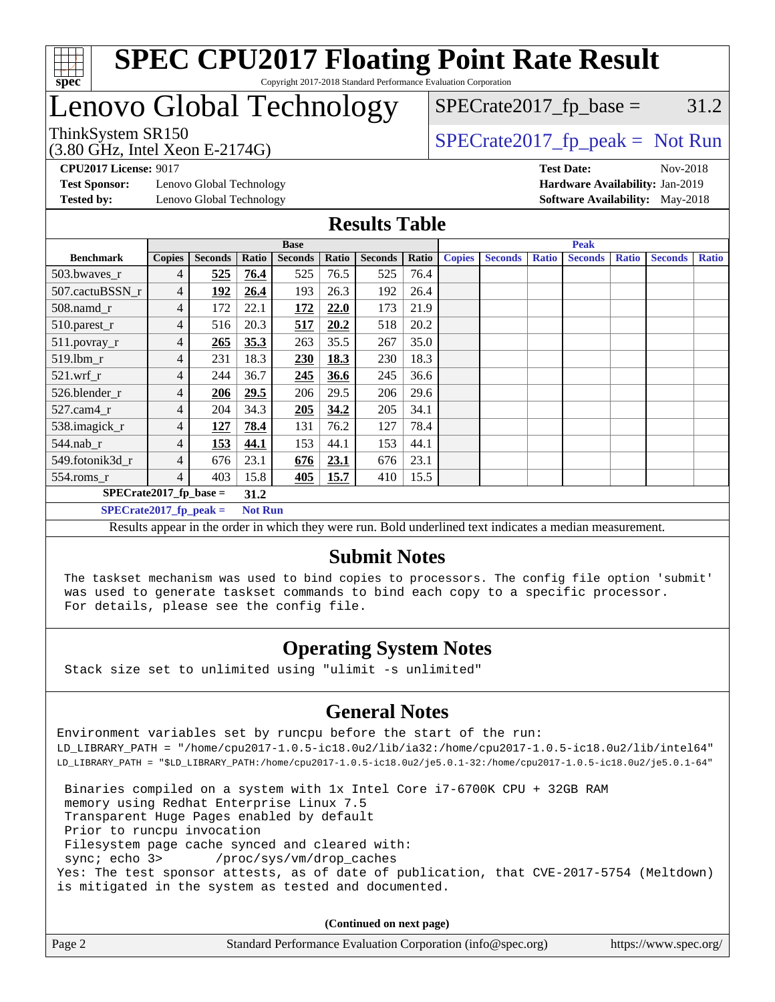

## Lenovo Global Technology

 $SPECTate2017<sub>fr</sub> peak = Not Run$  $SPECTate2017<sub>fp</sub> base =  $31.2$$ 

(3.80 GHz, Intel Xeon E-2174G)

**[Test Sponsor:](http://www.spec.org/auto/cpu2017/Docs/result-fields.html#TestSponsor)** Lenovo Global Technology **[Hardware Availability:](http://www.spec.org/auto/cpu2017/Docs/result-fields.html#HardwareAvailability)** Jan-2019 **[Tested by:](http://www.spec.org/auto/cpu2017/Docs/result-fields.html#Testedby)** Lenovo Global Technology **[Software Availability:](http://www.spec.org/auto/cpu2017/Docs/result-fields.html#SoftwareAvailability)** May-2018

**[CPU2017 License:](http://www.spec.org/auto/cpu2017/Docs/result-fields.html#CPU2017License)** 9017 **[Test Date:](http://www.spec.org/auto/cpu2017/Docs/result-fields.html#TestDate)** Nov-2018

#### **[Results Table](http://www.spec.org/auto/cpu2017/Docs/result-fields.html#ResultsTable)**

|                          | <b>Base</b>    |                |                |                |       |                |       | <b>Peak</b>   |                |              |                |              |                |              |
|--------------------------|----------------|----------------|----------------|----------------|-------|----------------|-------|---------------|----------------|--------------|----------------|--------------|----------------|--------------|
| <b>Benchmark</b>         | <b>Copies</b>  | <b>Seconds</b> | Ratio          | <b>Seconds</b> | Ratio | <b>Seconds</b> | Ratio | <b>Copies</b> | <b>Seconds</b> | <b>Ratio</b> | <b>Seconds</b> | <b>Ratio</b> | <b>Seconds</b> | <b>Ratio</b> |
| $503.bwaves_r$           | 4              | 525            | 76.4           | 525            | 76.5  | 525            | 76.4  |               |                |              |                |              |                |              |
| 507.cactuBSSN r          | 4              | 192            | 26.4           | 193            | 26.3  | 192            | 26.4  |               |                |              |                |              |                |              |
| $508$ .namd $r$          | 4              | 172            | 22.1           | <u>172</u>     | 22.0  | 173            | 21.9  |               |                |              |                |              |                |              |
| 510.parest_r             | 4              | 516            | 20.3           | 517            | 20.2  | 518            | 20.2  |               |                |              |                |              |                |              |
| 511.povray_r             | 4              | 265            | 35.3           | 263            | 35.5  | 267            | 35.0  |               |                |              |                |              |                |              |
| 519.lbm r                | 4              | 231            | 18.3           | 230            | 18.3  | 230            | 18.3  |               |                |              |                |              |                |              |
| 521.wrf                  | 4              | 244            | 36.7           | 245            | 36.6  | 245            | 36.6  |               |                |              |                |              |                |              |
| 526.blender r            | 4              | 206            | 29.5           | 206            | 29.5  | 206            | 29.6  |               |                |              |                |              |                |              |
| $527$ .cam $4r$          | 4              | 204            | 34.3           | 205            | 34.2  | 205            | 34.1  |               |                |              |                |              |                |              |
| 538.imagick_r            | 4              | 127            | 78.4           | 131            | 76.2  | 127            | 78.4  |               |                |              |                |              |                |              |
| $544$ .nab r             | 4              | 153            | 44.1           | 153            | 44.1  | 153            | 44.1  |               |                |              |                |              |                |              |
| 549.fotonik3d r          | $\overline{4}$ | 676            | 23.1           | 676            | 23.1  | 676            | 23.1  |               |                |              |                |              |                |              |
| $554$ .roms_r            | 4              | 403            | 15.8           | 405            | 15.7  | 410            | 15.5  |               |                |              |                |              |                |              |
| $SPECrate2017$ fp base = |                |                | 31.2           |                |       |                |       |               |                |              |                |              |                |              |
| $SPECrate2017$ fp peak = |                |                | <b>Not Run</b> |                |       |                |       |               |                |              |                |              |                |              |

Results appear in the [order in which they were run](http://www.spec.org/auto/cpu2017/Docs/result-fields.html#RunOrder). Bold underlined text [indicates a median measurement](http://www.spec.org/auto/cpu2017/Docs/result-fields.html#Median).

#### **[Submit Notes](http://www.spec.org/auto/cpu2017/Docs/result-fields.html#SubmitNotes)**

 The taskset mechanism was used to bind copies to processors. The config file option 'submit' was used to generate taskset commands to bind each copy to a specific processor. For details, please see the config file.

#### **[Operating System Notes](http://www.spec.org/auto/cpu2017/Docs/result-fields.html#OperatingSystemNotes)**

Stack size set to unlimited using "ulimit -s unlimited"

#### **[General Notes](http://www.spec.org/auto/cpu2017/Docs/result-fields.html#GeneralNotes)**

Environment variables set by runcpu before the start of the run: LD\_LIBRARY\_PATH = "/home/cpu2017-1.0.5-ic18.0u2/lib/ia32:/home/cpu2017-1.0.5-ic18.0u2/lib/intel64" LD\_LIBRARY\_PATH = "\$LD\_LIBRARY\_PATH:/home/cpu2017-1.0.5-ic18.0u2/je5.0.1-32:/home/cpu2017-1.0.5-ic18.0u2/je5.0.1-64"

 Binaries compiled on a system with 1x Intel Core i7-6700K CPU + 32GB RAM memory using Redhat Enterprise Linux 7.5 Transparent Huge Pages enabled by default Prior to runcpu invocation Filesystem page cache synced and cleared with: sync; echo 3> /proc/sys/vm/drop\_caches Yes: The test sponsor attests, as of date of publication, that CVE-2017-5754 (Meltdown) is mitigated in the system as tested and documented.

**(Continued on next page)**

| Page 2 | Standard Performance Evaluation Corporation (info@spec.org) | https://www.spec.org/ |
|--------|-------------------------------------------------------------|-----------------------|
|--------|-------------------------------------------------------------|-----------------------|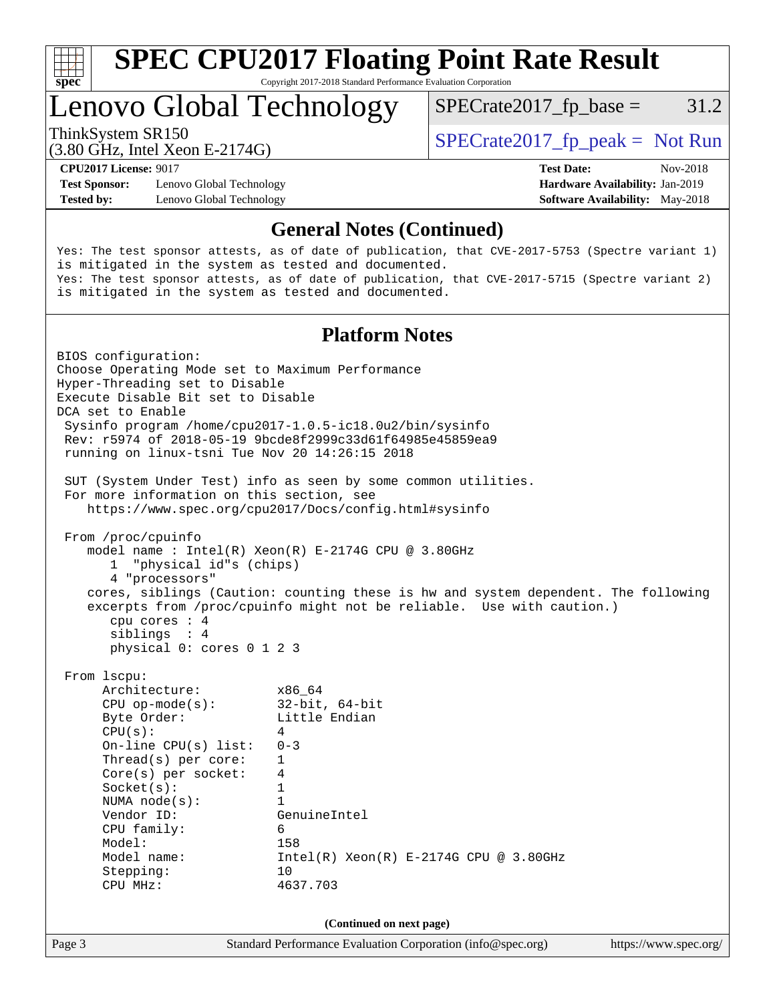

# **[SPEC CPU2017 Floating Point Rate Result](http://www.spec.org/auto/cpu2017/Docs/result-fields.html#SPECCPU2017FloatingPointRateResult)**

Copyright 2017-2018 Standard Performance Evaluation Corporation

## Lenovo Global Technology

 $SPECTate2017<sub>fp</sub> base =  $31.2$$ 

(3.80 GHz, Intel Xeon E-2174G)

ThinkSystem SR150  $SPECrate2017$  fp\_peak = Not Run

**[Test Sponsor:](http://www.spec.org/auto/cpu2017/Docs/result-fields.html#TestSponsor)** Lenovo Global Technology **[Hardware Availability:](http://www.spec.org/auto/cpu2017/Docs/result-fields.html#HardwareAvailability)** Jan-2019 **[Tested by:](http://www.spec.org/auto/cpu2017/Docs/result-fields.html#Testedby)** Lenovo Global Technology **[Software Availability:](http://www.spec.org/auto/cpu2017/Docs/result-fields.html#SoftwareAvailability)** May-2018

**[CPU2017 License:](http://www.spec.org/auto/cpu2017/Docs/result-fields.html#CPU2017License)** 9017 **[Test Date:](http://www.spec.org/auto/cpu2017/Docs/result-fields.html#TestDate)** Nov-2018

#### **[General Notes \(Continued\)](http://www.spec.org/auto/cpu2017/Docs/result-fields.html#GeneralNotes)**

Yes: The test sponsor attests, as of date of publication, that CVE-2017-5753 (Spectre variant 1) is mitigated in the system as tested and documented. Yes: The test sponsor attests, as of date of publication, that CVE-2017-5715 (Spectre variant 2) is mitigated in the system as tested and documented.

#### **[Platform Notes](http://www.spec.org/auto/cpu2017/Docs/result-fields.html#PlatformNotes)**

Page 3 Standard Performance Evaluation Corporation [\(info@spec.org\)](mailto:info@spec.org) <https://www.spec.org/> BIOS configuration: Choose Operating Mode set to Maximum Performance Hyper-Threading set to Disable Execute Disable Bit set to Disable DCA set to Enable Sysinfo program /home/cpu2017-1.0.5-ic18.0u2/bin/sysinfo Rev: r5974 of 2018-05-19 9bcde8f2999c33d61f64985e45859ea9 running on linux-tsni Tue Nov 20 14:26:15 2018 SUT (System Under Test) info as seen by some common utilities. For more information on this section, see <https://www.spec.org/cpu2017/Docs/config.html#sysinfo> From /proc/cpuinfo model name : Intel(R) Xeon(R) E-2174G CPU @ 3.80GHz 1 "physical id"s (chips) 4 "processors" cores, siblings (Caution: counting these is hw and system dependent. The following excerpts from /proc/cpuinfo might not be reliable. Use with caution.) cpu cores : 4 siblings : 4 physical 0: cores 0 1 2 3 From lscpu: Architecture: x86\_64 CPU op-mode(s): 32-bit, 64-bit Byte Order: Little Endian  $CPU(s):$  4 On-line CPU(s) list: 0-3 Thread(s) per core: 1 Core(s) per socket: 4 Socket(s): 1 NUMA node(s): 1 Vendor ID: GenuineIntel CPU family: 6 Model: 158 Model name: Intel(R) Xeon(R) E-2174G CPU @ 3.80GHz Stepping: 10 CPU MHz: 4637.703 **(Continued on next page)**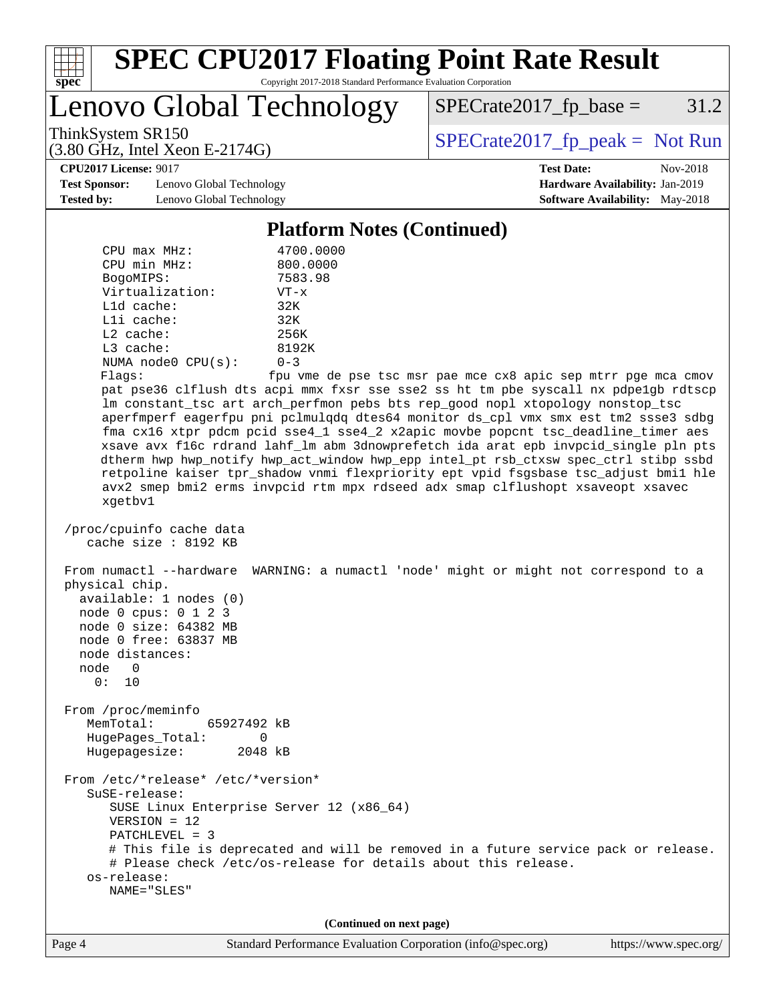

Lenovo Global Technology

 $SPECrate2017_fp\_base = 31.2$ 

(3.80 GHz, Intel Xeon E-2174G)

ThinkSystem SR150<br>  $(3.80 \text{ GHz})$  Intel Yeon E-2174G)

**[Test Sponsor:](http://www.spec.org/auto/cpu2017/Docs/result-fields.html#TestSponsor)** Lenovo Global Technology **[Hardware Availability:](http://www.spec.org/auto/cpu2017/Docs/result-fields.html#HardwareAvailability)** Jan-2019 **[Tested by:](http://www.spec.org/auto/cpu2017/Docs/result-fields.html#Testedby)** Lenovo Global Technology **[Software Availability:](http://www.spec.org/auto/cpu2017/Docs/result-fields.html#SoftwareAvailability)** May-2018

**[CPU2017 License:](http://www.spec.org/auto/cpu2017/Docs/result-fields.html#CPU2017License)** 9017 **[Test Date:](http://www.spec.org/auto/cpu2017/Docs/result-fields.html#TestDate)** Nov-2018

#### **[Platform Notes \(Continued\)](http://www.spec.org/auto/cpu2017/Docs/result-fields.html#PlatformNotes)**

| $CPU$ max $MHz$ :                                                                                                                                        | 4700.0000                                                                                                                                                                                                                                                                                                                                                                                                                                                                                                                                                                                                                                                                                              |
|----------------------------------------------------------------------------------------------------------------------------------------------------------|--------------------------------------------------------------------------------------------------------------------------------------------------------------------------------------------------------------------------------------------------------------------------------------------------------------------------------------------------------------------------------------------------------------------------------------------------------------------------------------------------------------------------------------------------------------------------------------------------------------------------------------------------------------------------------------------------------|
| CPU min MHz:                                                                                                                                             | 800.0000                                                                                                                                                                                                                                                                                                                                                                                                                                                                                                                                                                                                                                                                                               |
| BogoMIPS:                                                                                                                                                | 7583.98                                                                                                                                                                                                                                                                                                                                                                                                                                                                                                                                                                                                                                                                                                |
| Virtualization:                                                                                                                                          | $VT - x$                                                                                                                                                                                                                                                                                                                                                                                                                                                                                                                                                                                                                                                                                               |
| $L1d$ cache:                                                                                                                                             | 32K                                                                                                                                                                                                                                                                                                                                                                                                                                                                                                                                                                                                                                                                                                    |
| Lli cache:                                                                                                                                               | 32K                                                                                                                                                                                                                                                                                                                                                                                                                                                                                                                                                                                                                                                                                                    |
| $L2$ cache:                                                                                                                                              | 256K                                                                                                                                                                                                                                                                                                                                                                                                                                                                                                                                                                                                                                                                                                   |
| $L3$ cache:                                                                                                                                              | 8192K                                                                                                                                                                                                                                                                                                                                                                                                                                                                                                                                                                                                                                                                                                  |
| NUMA node0 CPU(s):                                                                                                                                       | $0 - 3$                                                                                                                                                                                                                                                                                                                                                                                                                                                                                                                                                                                                                                                                                                |
| Flaqs:                                                                                                                                                   | fpu vme de pse tsc msr pae mce cx8 apic sep mtrr pge mca cmov                                                                                                                                                                                                                                                                                                                                                                                                                                                                                                                                                                                                                                          |
| xgetbv1                                                                                                                                                  | pat pse36 clflush dts acpi mmx fxsr sse sse2 ss ht tm pbe syscall nx pdpelgb rdtscp<br>lm constant_tsc art arch_perfmon pebs bts rep_good nopl xtopology nonstop_tsc<br>aperfmperf eagerfpu pni pclmulqdq dtes64 monitor ds_cpl vmx smx est tm2 ssse3 sdbg<br>fma cx16 xtpr pdcm pcid sse4_1 sse4_2 x2apic movbe popcnt tsc_deadline_timer aes<br>xsave avx f16c rdrand lahf_lm abm 3dnowprefetch ida arat epb invpcid_single pln pts<br>dtherm hwp hwp_notify hwp_act_window hwp_epp intel_pt rsb_ctxsw spec_ctrl stibp ssbd<br>retpoline kaiser tpr_shadow vnmi flexpriority ept vpid fsgsbase tsc_adjust bmil hle<br>avx2 smep bmi2 erms invpcid rtm mpx rdseed adx smap clflushopt xsaveopt xsavec |
|                                                                                                                                                          |                                                                                                                                                                                                                                                                                                                                                                                                                                                                                                                                                                                                                                                                                                        |
| /proc/cpuinfo cache data<br>cache size : 8192 KB                                                                                                         |                                                                                                                                                                                                                                                                                                                                                                                                                                                                                                                                                                                                                                                                                                        |
| physical chip.<br>available: 1 nodes (0)<br>node 0 cpus: 0 1 2 3<br>node 0 size: 64382 MB<br>node 0 free: 63837 MB<br>node distances:<br>node 0<br>0: 10 | From numactl --hardware WARNING: a numactl 'node' might or might not correspond to a                                                                                                                                                                                                                                                                                                                                                                                                                                                                                                                                                                                                                   |
| From /proc/meminfo                                                                                                                                       |                                                                                                                                                                                                                                                                                                                                                                                                                                                                                                                                                                                                                                                                                                        |
| MemTotal:<br>65927492 kB                                                                                                                                 |                                                                                                                                                                                                                                                                                                                                                                                                                                                                                                                                                                                                                                                                                                        |
| HugePages_Total:<br>0                                                                                                                                    |                                                                                                                                                                                                                                                                                                                                                                                                                                                                                                                                                                                                                                                                                                        |
| Hugepagesize:<br>2048 kB                                                                                                                                 |                                                                                                                                                                                                                                                                                                                                                                                                                                                                                                                                                                                                                                                                                                        |
| From /etc/*release* /etc/*version*                                                                                                                       |                                                                                                                                                                                                                                                                                                                                                                                                                                                                                                                                                                                                                                                                                                        |
| SuSE-release:                                                                                                                                            |                                                                                                                                                                                                                                                                                                                                                                                                                                                                                                                                                                                                                                                                                                        |
| SUSE Linux Enterprise Server 12 (x86_64)                                                                                                                 |                                                                                                                                                                                                                                                                                                                                                                                                                                                                                                                                                                                                                                                                                                        |
| $VERSION = 12$                                                                                                                                           |                                                                                                                                                                                                                                                                                                                                                                                                                                                                                                                                                                                                                                                                                                        |
| $PATCHLEVEL = 3$                                                                                                                                         |                                                                                                                                                                                                                                                                                                                                                                                                                                                                                                                                                                                                                                                                                                        |
|                                                                                                                                                          | # This file is deprecated and will be removed in a future service pack or release.                                                                                                                                                                                                                                                                                                                                                                                                                                                                                                                                                                                                                     |
|                                                                                                                                                          | # Please check /etc/os-release for details about this release.                                                                                                                                                                                                                                                                                                                                                                                                                                                                                                                                                                                                                                         |
| os-release:                                                                                                                                              |                                                                                                                                                                                                                                                                                                                                                                                                                                                                                                                                                                                                                                                                                                        |
| NAME="SLES"                                                                                                                                              |                                                                                                                                                                                                                                                                                                                                                                                                                                                                                                                                                                                                                                                                                                        |
|                                                                                                                                                          |                                                                                                                                                                                                                                                                                                                                                                                                                                                                                                                                                                                                                                                                                                        |
|                                                                                                                                                          | (Continued on next page)                                                                                                                                                                                                                                                                                                                                                                                                                                                                                                                                                                                                                                                                               |
|                                                                                                                                                          |                                                                                                                                                                                                                                                                                                                                                                                                                                                                                                                                                                                                                                                                                                        |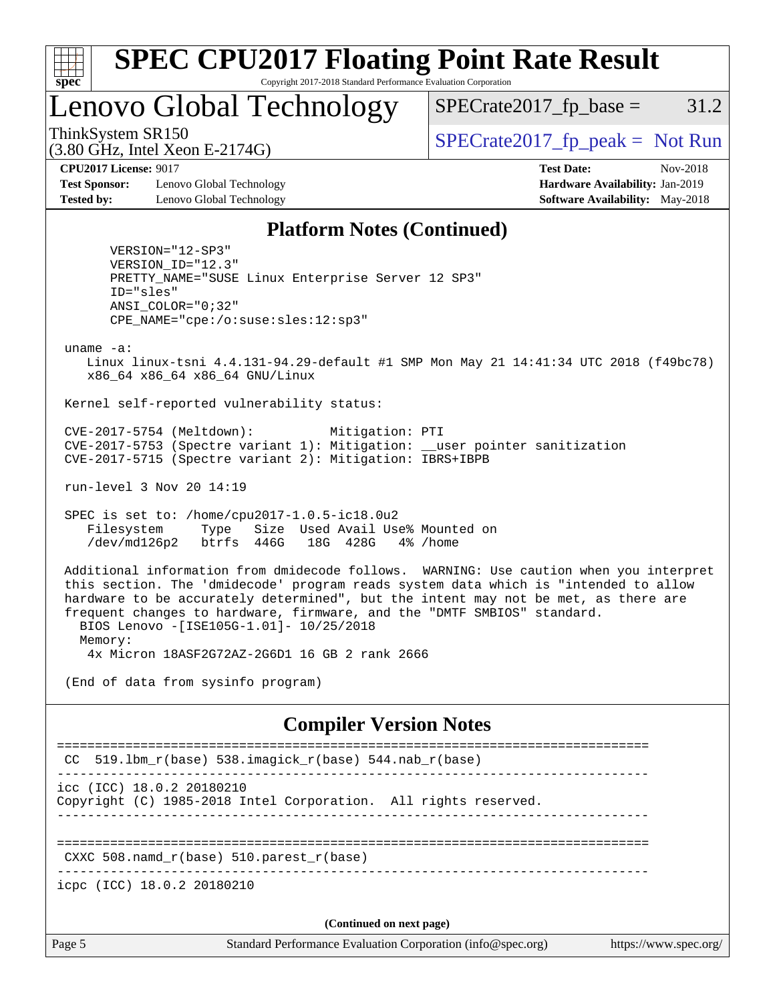

## Lenovo Global Technology

 $SPECTate2017<sub>fp</sub> base =  $31.2$$ 

(3.80 GHz, Intel Xeon E-2174G)

ThinkSystem SR150  $SPECrate2017$  fp\_peak = Not Run

**[Test Sponsor:](http://www.spec.org/auto/cpu2017/Docs/result-fields.html#TestSponsor)** Lenovo Global Technology **[Hardware Availability:](http://www.spec.org/auto/cpu2017/Docs/result-fields.html#HardwareAvailability)** Jan-2019 **[Tested by:](http://www.spec.org/auto/cpu2017/Docs/result-fields.html#Testedby)** Lenovo Global Technology **[Software Availability:](http://www.spec.org/auto/cpu2017/Docs/result-fields.html#SoftwareAvailability)** May-2018

**[CPU2017 License:](http://www.spec.org/auto/cpu2017/Docs/result-fields.html#CPU2017License)** 9017 **[Test Date:](http://www.spec.org/auto/cpu2017/Docs/result-fields.html#TestDate)** Nov-2018

#### **[Platform Notes \(Continued\)](http://www.spec.org/auto/cpu2017/Docs/result-fields.html#PlatformNotes)**

 VERSION="12-SP3" VERSION\_ID="12.3" PRETTY\_NAME="SUSE Linux Enterprise Server 12 SP3" ID="sles" ANSI\_COLOR="0;32" CPE\_NAME="cpe:/o:suse:sles:12:sp3"

uname -a:

 Linux linux-tsni 4.4.131-94.29-default #1 SMP Mon May 21 14:41:34 UTC 2018 (f49bc78) x86\_64 x86\_64 x86\_64 GNU/Linux

Kernel self-reported vulnerability status:

 CVE-2017-5754 (Meltdown): Mitigation: PTI CVE-2017-5753 (Spectre variant 1): Mitigation: \_\_user pointer sanitization CVE-2017-5715 (Spectre variant 2): Mitigation: IBRS+IBPB

run-level 3 Nov 20 14:19

 SPEC is set to: /home/cpu2017-1.0.5-ic18.0u2 Filesystem Type Size Used Avail Use% Mounted on /dev/md126p2 btrfs 446G 18G 428G 4% /home

 Additional information from dmidecode follows. WARNING: Use caution when you interpret this section. The 'dmidecode' program reads system data which is "intended to allow hardware to be accurately determined", but the intent may not be met, as there are frequent changes to hardware, firmware, and the "DMTF SMBIOS" standard. BIOS Lenovo -[ISE105G-1.01]- 10/25/2018 Memory:

4x Micron 18ASF2G72AZ-2G6D1 16 GB 2 rank 2666

(End of data from sysinfo program)

#### **[Compiler Version Notes](http://www.spec.org/auto/cpu2017/Docs/result-fields.html#CompilerVersionNotes)**

Page 5 Standard Performance Evaluation Corporation [\(info@spec.org\)](mailto:info@spec.org) <https://www.spec.org/> ============================================================================== CC 519.1bm  $r(base)$  538.imagick  $r(base)$  544.nab  $r(base)$ ----------------------------------------------------------------------------- icc (ICC) 18.0.2 20180210 Copyright (C) 1985-2018 Intel Corporation. All rights reserved. ------------------------------------------------------------------------------ ============================================================================== CXXC 508.namd\_r(base) 510.parest\_r(base) ----------------------------------------------------------------------------- icpc (ICC) 18.0.2 20180210 **(Continued on next page)**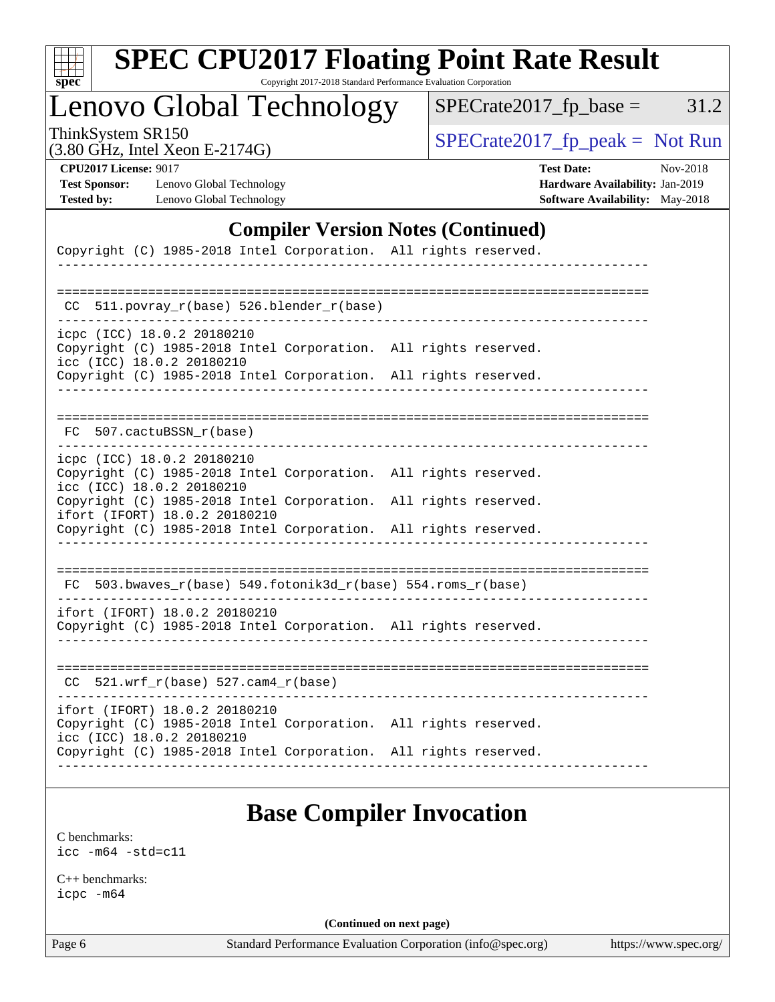| c<br>E<br>S<br>L<br>Ġ. |  |  |  |  |
|------------------------|--|--|--|--|

# **[SPEC CPU2017 Floating Point Rate Result](http://www.spec.org/auto/cpu2017/Docs/result-fields.html#SPECCPU2017FloatingPointRateResult)**

Copyright 2017-2018 Standard Performance Evaluation Corporation

Lenovo Global Technology

ThinkSystem SR150<br>  $(3.80 \text{ GHz}_{\text{total}} \text{ Total } \text{Yoon } E$  3174G)  $SPECTate2017_fp\_base = 31.2$ 

(3.80 GHz, Intel Xeon E-2174G)

| <b>CPU2017 License: 901</b> |  |
|-----------------------------|--|
|-----------------------------|--|

**[Test Sponsor:](http://www.spec.org/auto/cpu2017/Docs/result-fields.html#TestSponsor)** Lenovo Global Technology **[Hardware Availability:](http://www.spec.org/auto/cpu2017/Docs/result-fields.html#HardwareAvailability)** Jan-2019 **[Tested by:](http://www.spec.org/auto/cpu2017/Docs/result-fields.html#Testedby)** Lenovo Global Technology **[Software Availability:](http://www.spec.org/auto/cpu2017/Docs/result-fields.html#SoftwareAvailability)** May-2018

**[CPU2017 License:](http://www.spec.org/auto/cpu2017/Docs/result-fields.html#CPU2017License)** 9017 **[Test Date:](http://www.spec.org/auto/cpu2017/Docs/result-fields.html#TestDate)** Nov-2018

#### **[Compiler Version Notes \(Continued\)](http://www.spec.org/auto/cpu2017/Docs/result-fields.html#CompilerVersionNotes)**

| Copyright (C) 1985-2018 Intel Corporation. All rights reserved.                                                               |  |  |
|-------------------------------------------------------------------------------------------------------------------------------|--|--|
|                                                                                                                               |  |  |
| 511.povray_r(base) 526.blender_r(base)<br>CC.                                                                                 |  |  |
| icpc (ICC) 18.0.2 20180210<br>Copyright (C) 1985-2018 Intel Corporation. All rights reserved.<br>icc (ICC) 18.0.2 20180210    |  |  |
| Copyright (C) 1985-2018 Intel Corporation. All rights reserved.                                                               |  |  |
|                                                                                                                               |  |  |
| FC 507.cactuBSSN_r(base)                                                                                                      |  |  |
| icpc (ICC) 18.0.2 20180210<br>Copyright (C) 1985-2018 Intel Corporation. All rights reserved.<br>icc (ICC) 18.0.2 20180210    |  |  |
| Copyright (C) 1985-2018 Intel Corporation. All rights reserved.<br>ifort (IFORT) 18.0.2 20180210                              |  |  |
| Copyright (C) 1985-2018 Intel Corporation. All rights reserved.                                                               |  |  |
| $FC 503.bwaves_r(base) 549.fotonik3d_r(base) 554.roms_r(base)$                                                                |  |  |
| ifort (IFORT) 18.0.2 20180210<br>Copyright (C) 1985-2018 Intel Corporation. All rights reserved.                              |  |  |
| $CC$ 521.wrf_r(base) 527.cam4_r(base)                                                                                         |  |  |
| ifort (IFORT) 18.0.2 20180210<br>Copyright (C) 1985-2018 Intel Corporation. All rights reserved.<br>icc (ICC) 18.0.2 20180210 |  |  |
| Copyright (C) 1985-2018 Intel Corporation. All rights reserved.                                                               |  |  |

### **[Base Compiler Invocation](http://www.spec.org/auto/cpu2017/Docs/result-fields.html#BaseCompilerInvocation)**

[C benchmarks](http://www.spec.org/auto/cpu2017/Docs/result-fields.html#Cbenchmarks): [icc -m64 -std=c11](http://www.spec.org/cpu2017/results/res2018q4/cpu2017-20181126-09881.flags.html#user_CCbase_intel_icc_64bit_c11_33ee0cdaae7deeeab2a9725423ba97205ce30f63b9926c2519791662299b76a0318f32ddfffdc46587804de3178b4f9328c46fa7c2b0cd779d7a61945c91cd35)

[C++ benchmarks:](http://www.spec.org/auto/cpu2017/Docs/result-fields.html#CXXbenchmarks) [icpc -m64](http://www.spec.org/cpu2017/results/res2018q4/cpu2017-20181126-09881.flags.html#user_CXXbase_intel_icpc_64bit_4ecb2543ae3f1412ef961e0650ca070fec7b7afdcd6ed48761b84423119d1bf6bdf5cad15b44d48e7256388bc77273b966e5eb805aefd121eb22e9299b2ec9d9)

**(Continued on next page)**

Page 6 Standard Performance Evaluation Corporation [\(info@spec.org\)](mailto:info@spec.org) <https://www.spec.org/>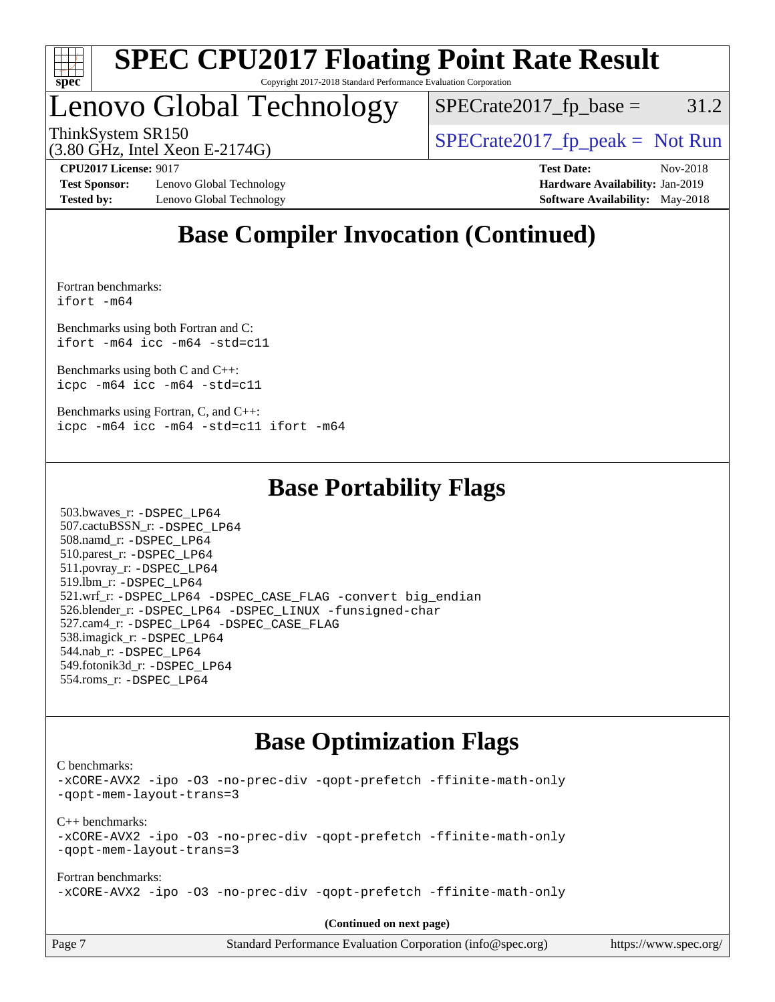

## Lenovo Global Technology

 $SPECTate2017<sub>fp</sub> base =  $31.2$$ 

(3.80 GHz, Intel Xeon E-2174G)

ThinkSystem SR150<br>  $SPECTI<sub>2</sub>$  [SPECrate2017\\_fp\\_peak =](http://www.spec.org/auto/cpu2017/Docs/result-fields.html#SPECrate2017fppeak) Not Run

**[Test Sponsor:](http://www.spec.org/auto/cpu2017/Docs/result-fields.html#TestSponsor)** Lenovo Global Technology **[Hardware Availability:](http://www.spec.org/auto/cpu2017/Docs/result-fields.html#HardwareAvailability)** Jan-2019 **[Tested by:](http://www.spec.org/auto/cpu2017/Docs/result-fields.html#Testedby)** Lenovo Global Technology **[Software Availability:](http://www.spec.org/auto/cpu2017/Docs/result-fields.html#SoftwareAvailability)** May-2018

**[CPU2017 License:](http://www.spec.org/auto/cpu2017/Docs/result-fields.html#CPU2017License)** 9017 **[Test Date:](http://www.spec.org/auto/cpu2017/Docs/result-fields.html#TestDate)** Nov-2018

### **[Base Compiler Invocation \(Continued\)](http://www.spec.org/auto/cpu2017/Docs/result-fields.html#BaseCompilerInvocation)**

[Fortran benchmarks](http://www.spec.org/auto/cpu2017/Docs/result-fields.html#Fortranbenchmarks): [ifort -m64](http://www.spec.org/cpu2017/results/res2018q4/cpu2017-20181126-09881.flags.html#user_FCbase_intel_ifort_64bit_24f2bb282fbaeffd6157abe4f878425411749daecae9a33200eee2bee2fe76f3b89351d69a8130dd5949958ce389cf37ff59a95e7a40d588e8d3a57e0c3fd751)

[Benchmarks using both Fortran and C](http://www.spec.org/auto/cpu2017/Docs/result-fields.html#BenchmarksusingbothFortranandC): [ifort -m64](http://www.spec.org/cpu2017/results/res2018q4/cpu2017-20181126-09881.flags.html#user_CC_FCbase_intel_ifort_64bit_24f2bb282fbaeffd6157abe4f878425411749daecae9a33200eee2bee2fe76f3b89351d69a8130dd5949958ce389cf37ff59a95e7a40d588e8d3a57e0c3fd751) [icc -m64 -std=c11](http://www.spec.org/cpu2017/results/res2018q4/cpu2017-20181126-09881.flags.html#user_CC_FCbase_intel_icc_64bit_c11_33ee0cdaae7deeeab2a9725423ba97205ce30f63b9926c2519791662299b76a0318f32ddfffdc46587804de3178b4f9328c46fa7c2b0cd779d7a61945c91cd35)

[Benchmarks using both C and C++](http://www.spec.org/auto/cpu2017/Docs/result-fields.html#BenchmarksusingbothCandCXX): [icpc -m64](http://www.spec.org/cpu2017/results/res2018q4/cpu2017-20181126-09881.flags.html#user_CC_CXXbase_intel_icpc_64bit_4ecb2543ae3f1412ef961e0650ca070fec7b7afdcd6ed48761b84423119d1bf6bdf5cad15b44d48e7256388bc77273b966e5eb805aefd121eb22e9299b2ec9d9) [icc -m64 -std=c11](http://www.spec.org/cpu2017/results/res2018q4/cpu2017-20181126-09881.flags.html#user_CC_CXXbase_intel_icc_64bit_c11_33ee0cdaae7deeeab2a9725423ba97205ce30f63b9926c2519791662299b76a0318f32ddfffdc46587804de3178b4f9328c46fa7c2b0cd779d7a61945c91cd35)

[Benchmarks using Fortran, C, and C++:](http://www.spec.org/auto/cpu2017/Docs/result-fields.html#BenchmarksusingFortranCandCXX) [icpc -m64](http://www.spec.org/cpu2017/results/res2018q4/cpu2017-20181126-09881.flags.html#user_CC_CXX_FCbase_intel_icpc_64bit_4ecb2543ae3f1412ef961e0650ca070fec7b7afdcd6ed48761b84423119d1bf6bdf5cad15b44d48e7256388bc77273b966e5eb805aefd121eb22e9299b2ec9d9) [icc -m64 -std=c11](http://www.spec.org/cpu2017/results/res2018q4/cpu2017-20181126-09881.flags.html#user_CC_CXX_FCbase_intel_icc_64bit_c11_33ee0cdaae7deeeab2a9725423ba97205ce30f63b9926c2519791662299b76a0318f32ddfffdc46587804de3178b4f9328c46fa7c2b0cd779d7a61945c91cd35) [ifort -m64](http://www.spec.org/cpu2017/results/res2018q4/cpu2017-20181126-09881.flags.html#user_CC_CXX_FCbase_intel_ifort_64bit_24f2bb282fbaeffd6157abe4f878425411749daecae9a33200eee2bee2fe76f3b89351d69a8130dd5949958ce389cf37ff59a95e7a40d588e8d3a57e0c3fd751)

### **[Base Portability Flags](http://www.spec.org/auto/cpu2017/Docs/result-fields.html#BasePortabilityFlags)**

 503.bwaves\_r: [-DSPEC\\_LP64](http://www.spec.org/cpu2017/results/res2018q4/cpu2017-20181126-09881.flags.html#suite_basePORTABILITY503_bwaves_r_DSPEC_LP64) 507.cactuBSSN\_r: [-DSPEC\\_LP64](http://www.spec.org/cpu2017/results/res2018q4/cpu2017-20181126-09881.flags.html#suite_basePORTABILITY507_cactuBSSN_r_DSPEC_LP64) 508.namd\_r: [-DSPEC\\_LP64](http://www.spec.org/cpu2017/results/res2018q4/cpu2017-20181126-09881.flags.html#suite_basePORTABILITY508_namd_r_DSPEC_LP64) 510.parest\_r: [-DSPEC\\_LP64](http://www.spec.org/cpu2017/results/res2018q4/cpu2017-20181126-09881.flags.html#suite_basePORTABILITY510_parest_r_DSPEC_LP64) 511.povray\_r: [-DSPEC\\_LP64](http://www.spec.org/cpu2017/results/res2018q4/cpu2017-20181126-09881.flags.html#suite_basePORTABILITY511_povray_r_DSPEC_LP64) 519.lbm\_r: [-DSPEC\\_LP64](http://www.spec.org/cpu2017/results/res2018q4/cpu2017-20181126-09881.flags.html#suite_basePORTABILITY519_lbm_r_DSPEC_LP64) 521.wrf\_r: [-DSPEC\\_LP64](http://www.spec.org/cpu2017/results/res2018q4/cpu2017-20181126-09881.flags.html#suite_basePORTABILITY521_wrf_r_DSPEC_LP64) [-DSPEC\\_CASE\\_FLAG](http://www.spec.org/cpu2017/results/res2018q4/cpu2017-20181126-09881.flags.html#b521.wrf_r_baseCPORTABILITY_DSPEC_CASE_FLAG) [-convert big\\_endian](http://www.spec.org/cpu2017/results/res2018q4/cpu2017-20181126-09881.flags.html#user_baseFPORTABILITY521_wrf_r_convert_big_endian_c3194028bc08c63ac5d04de18c48ce6d347e4e562e8892b8bdbdc0214820426deb8554edfa529a3fb25a586e65a3d812c835984020483e7e73212c4d31a38223) 526.blender\_r: [-DSPEC\\_LP64](http://www.spec.org/cpu2017/results/res2018q4/cpu2017-20181126-09881.flags.html#suite_basePORTABILITY526_blender_r_DSPEC_LP64) [-DSPEC\\_LINUX](http://www.spec.org/cpu2017/results/res2018q4/cpu2017-20181126-09881.flags.html#b526.blender_r_baseCPORTABILITY_DSPEC_LINUX) [-funsigned-char](http://www.spec.org/cpu2017/results/res2018q4/cpu2017-20181126-09881.flags.html#user_baseCPORTABILITY526_blender_r_force_uchar_40c60f00ab013830e2dd6774aeded3ff59883ba5a1fc5fc14077f794d777847726e2a5858cbc7672e36e1b067e7e5c1d9a74f7176df07886a243d7cc18edfe67) 527.cam4\_r: [-DSPEC\\_LP64](http://www.spec.org/cpu2017/results/res2018q4/cpu2017-20181126-09881.flags.html#suite_basePORTABILITY527_cam4_r_DSPEC_LP64) [-DSPEC\\_CASE\\_FLAG](http://www.spec.org/cpu2017/results/res2018q4/cpu2017-20181126-09881.flags.html#b527.cam4_r_baseCPORTABILITY_DSPEC_CASE_FLAG) 538.imagick\_r: [-DSPEC\\_LP64](http://www.spec.org/cpu2017/results/res2018q4/cpu2017-20181126-09881.flags.html#suite_basePORTABILITY538_imagick_r_DSPEC_LP64) 544.nab\_r: [-DSPEC\\_LP64](http://www.spec.org/cpu2017/results/res2018q4/cpu2017-20181126-09881.flags.html#suite_basePORTABILITY544_nab_r_DSPEC_LP64) 549.fotonik3d\_r: [-DSPEC\\_LP64](http://www.spec.org/cpu2017/results/res2018q4/cpu2017-20181126-09881.flags.html#suite_basePORTABILITY549_fotonik3d_r_DSPEC_LP64) 554.roms\_r: [-DSPEC\\_LP64](http://www.spec.org/cpu2017/results/res2018q4/cpu2017-20181126-09881.flags.html#suite_basePORTABILITY554_roms_r_DSPEC_LP64)

### **[Base Optimization Flags](http://www.spec.org/auto/cpu2017/Docs/result-fields.html#BaseOptimizationFlags)**

[C benchmarks](http://www.spec.org/auto/cpu2017/Docs/result-fields.html#Cbenchmarks):

[-xCORE-AVX2](http://www.spec.org/cpu2017/results/res2018q4/cpu2017-20181126-09881.flags.html#user_CCbase_f-xCORE-AVX2) [-ipo](http://www.spec.org/cpu2017/results/res2018q4/cpu2017-20181126-09881.flags.html#user_CCbase_f-ipo) [-O3](http://www.spec.org/cpu2017/results/res2018q4/cpu2017-20181126-09881.flags.html#user_CCbase_f-O3) [-no-prec-div](http://www.spec.org/cpu2017/results/res2018q4/cpu2017-20181126-09881.flags.html#user_CCbase_f-no-prec-div) [-qopt-prefetch](http://www.spec.org/cpu2017/results/res2018q4/cpu2017-20181126-09881.flags.html#user_CCbase_f-qopt-prefetch) [-ffinite-math-only](http://www.spec.org/cpu2017/results/res2018q4/cpu2017-20181126-09881.flags.html#user_CCbase_f_finite_math_only_cb91587bd2077682c4b38af759c288ed7c732db004271a9512da14a4f8007909a5f1427ecbf1a0fb78ff2a814402c6114ac565ca162485bbcae155b5e4258871) [-qopt-mem-layout-trans=3](http://www.spec.org/cpu2017/results/res2018q4/cpu2017-20181126-09881.flags.html#user_CCbase_f-qopt-mem-layout-trans_de80db37974c74b1f0e20d883f0b675c88c3b01e9d123adea9b28688d64333345fb62bc4a798493513fdb68f60282f9a726aa07f478b2f7113531aecce732043) [C++ benchmarks:](http://www.spec.org/auto/cpu2017/Docs/result-fields.html#CXXbenchmarks) [-xCORE-AVX2](http://www.spec.org/cpu2017/results/res2018q4/cpu2017-20181126-09881.flags.html#user_CXXbase_f-xCORE-AVX2) [-ipo](http://www.spec.org/cpu2017/results/res2018q4/cpu2017-20181126-09881.flags.html#user_CXXbase_f-ipo) [-O3](http://www.spec.org/cpu2017/results/res2018q4/cpu2017-20181126-09881.flags.html#user_CXXbase_f-O3) [-no-prec-div](http://www.spec.org/cpu2017/results/res2018q4/cpu2017-20181126-09881.flags.html#user_CXXbase_f-no-prec-div) [-qopt-prefetch](http://www.spec.org/cpu2017/results/res2018q4/cpu2017-20181126-09881.flags.html#user_CXXbase_f-qopt-prefetch) [-ffinite-math-only](http://www.spec.org/cpu2017/results/res2018q4/cpu2017-20181126-09881.flags.html#user_CXXbase_f_finite_math_only_cb91587bd2077682c4b38af759c288ed7c732db004271a9512da14a4f8007909a5f1427ecbf1a0fb78ff2a814402c6114ac565ca162485bbcae155b5e4258871) [-qopt-mem-layout-trans=3](http://www.spec.org/cpu2017/results/res2018q4/cpu2017-20181126-09881.flags.html#user_CXXbase_f-qopt-mem-layout-trans_de80db37974c74b1f0e20d883f0b675c88c3b01e9d123adea9b28688d64333345fb62bc4a798493513fdb68f60282f9a726aa07f478b2f7113531aecce732043) [Fortran benchmarks](http://www.spec.org/auto/cpu2017/Docs/result-fields.html#Fortranbenchmarks): [-xCORE-AVX2](http://www.spec.org/cpu2017/results/res2018q4/cpu2017-20181126-09881.flags.html#user_FCbase_f-xCORE-AVX2) [-ipo](http://www.spec.org/cpu2017/results/res2018q4/cpu2017-20181126-09881.flags.html#user_FCbase_f-ipo) [-O3](http://www.spec.org/cpu2017/results/res2018q4/cpu2017-20181126-09881.flags.html#user_FCbase_f-O3) [-no-prec-div](http://www.spec.org/cpu2017/results/res2018q4/cpu2017-20181126-09881.flags.html#user_FCbase_f-no-prec-div) [-qopt-prefetch](http://www.spec.org/cpu2017/results/res2018q4/cpu2017-20181126-09881.flags.html#user_FCbase_f-qopt-prefetch) [-ffinite-math-only](http://www.spec.org/cpu2017/results/res2018q4/cpu2017-20181126-09881.flags.html#user_FCbase_f_finite_math_only_cb91587bd2077682c4b38af759c288ed7c732db004271a9512da14a4f8007909a5f1427ecbf1a0fb78ff2a814402c6114ac565ca162485bbcae155b5e4258871)

**(Continued on next page)**

| Page 7 | Standard Performance Evaluation Corporation (info@spec.org) | https://www.spec.org/ |
|--------|-------------------------------------------------------------|-----------------------|
|        |                                                             |                       |